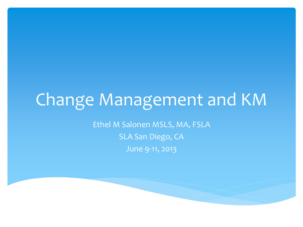## Change Management and KM

Ethel M Salonen MSLS, MA, FSLA SLA San Diego, CA June 9-11, 2013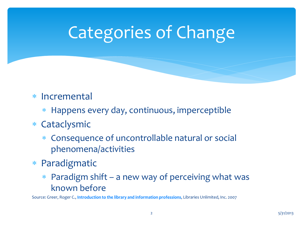# Categories of Change

#### Incremental

Happens every day, continuous, imperceptible

#### Cataclysmic

- Consequence of uncontrollable natural or social phenomena/activities
- Paradigmatic
	- Paradigm shift a new way of perceiving what was known before

Source: Greer, Roger C., **[Introduction to the library and information professions](http://www.amazon.com/Introduction-Library-Information-Professions-Roger/dp/1591584868)**, Libraries Unlimited, Inc. 2007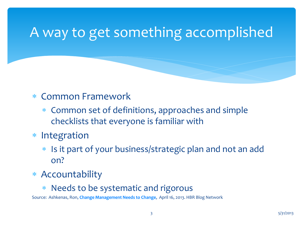### A way to get something accomplished

#### Common Framework

- Common set of definitions, approaches and simple checklists that everyone is familiar with
- \* Integration
	- Is it part of your business/strategic plan and not an add on?
- Accountability
	- Needs to be systematic and rigorous

Source: Ashkenas, Ron, **[Change Management Needs to Change](http://blogs.hbr.org/ashkenas/2013/04/change-management-needs-to-cha.html)**, April 16, 2013. HBR Blog Network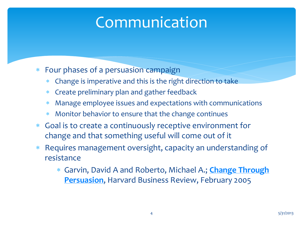### Communication

- Four phases of a persuasion campaign
	- Change is imperative and this is the right direction to take
	- Create preliminary plan and gather feedback
	- Manage employee issues and expectations with communications
	- Monitor behavior to ensure that the change continues
- Goal is to create a continuously receptive environment for change and that something useful will come out of it
- Requires management oversight, capacity an understanding of resistance
	- Garvin, David A and Roberto, Michael A.; **[Change Through](http://hbr.org/2005/02/change-through-persuasion/ar/1)  [Persuasion](http://hbr.org/2005/02/change-through-persuasion/ar/1)**, Harvard Business Review, February 2005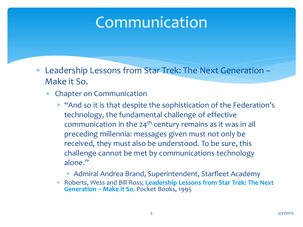### Communication

- Leadership Lessons from Star Trek: The Next Generation Make it So.
	- Chapter on Communication
		- "And so it is that despite the sophistication of the Federation's technology, the fundamental challenge of effective communication in the  $24<sup>th</sup>$  century remains as it was in all preceding millennia: messages given must not only be received, they must also be understood. To be sure, this challenge cannot be met by communications technology alone."
			- Admiral Andrea Brand, Superintendent, Starfleet Academy
		- Roberts, Wess and Bill Ross; **Leadership Lessons from Star Trek: The Next Generation – Make it So**, Pocket Books, 1995